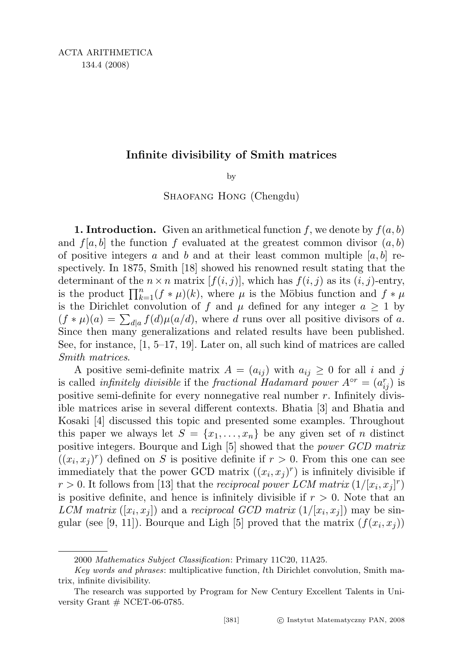## Infinite divisibility of Smith matrices

by

## SHAOFANG HONG (Chengdu)

**1. Introduction.** Given an arithmetical function f, we denote by  $f(a, b)$ and  $f[a, b]$  the function f evaluated at the greatest common divisor  $(a, b)$ of positive integers a and b and at their least common multiple  $[a, b]$  respectively. In 1875, Smith [18] showed his renowned result stating that the determinant of the  $n \times n$  matrix  $[f(i, j)]$ , which has  $f(i, j)$  as its  $(i, j)$ -entry, is the product  $\prod_{k=1}^{n}(f * \mu)(k)$ , where  $\mu$  is the Möbius function and  $f * \mu$ is the Dirichlet convolution of f and  $\mu$  defined for any integer  $a \geq 1$  by  $(f * \mu)(a) = \sum_{d|a} f(d)\mu(a/d)$ , where d runs over all positive divisors of a. Since then many generalizations and related results have been published. See, for instance,  $\left[1, 5-17, 19\right]$ . Later on, all such kind of matrices are called Smith matrices.

A positive semi-definite matrix  $A = (a_{ij})$  with  $a_{ij} \geq 0$  for all i and j is called *infinitely divisible* if the *fractional Hadamard power*  $A^{\circ r} = (a_{ij}^r)$  is positive semi-definite for every nonnegative real number  $r$ . Infinitely divisible matrices arise in several different contexts. Bhatia [3] and Bhatia and Kosaki [4] discussed this topic and presented some examples. Throughout this paper we always let  $S = \{x_1, \ldots, x_n\}$  be any given set of n distinct positive integers. Bourque and Ligh [5] showed that the power GCD matrix  $((x_i, x_j)^r)$  defined on S is positive definite if  $r > 0$ . From this one can see immediately that the power GCD matrix  $((x_i, x_j)^r)$  is infinitely divisible if  $r > 0$ . It follows from [13] that the reciprocal power LCM matrix  $(1/[x_i, x_j]^r)$ is positive definite, and hence is infinitely divisible if  $r > 0$ . Note that an LCM matrix  $([x_i, x_j])$  and a reciprocal GCD matrix  $(1/[x_i, x_j])$  may be singular (see [9, 11]). Bourque and Ligh [5] proved that the matrix  $(f(x_i, x_j))$ 

<sup>2000</sup> Mathematics Subject Classification: Primary 11C20, 11A25.

Key words and phrases: multiplicative function, lth Dirichlet convolution, Smith matrix, infinite divisibility.

The research was supported by Program for New Century Excellent Talents in University Grant  $#$  NCET-06-0785.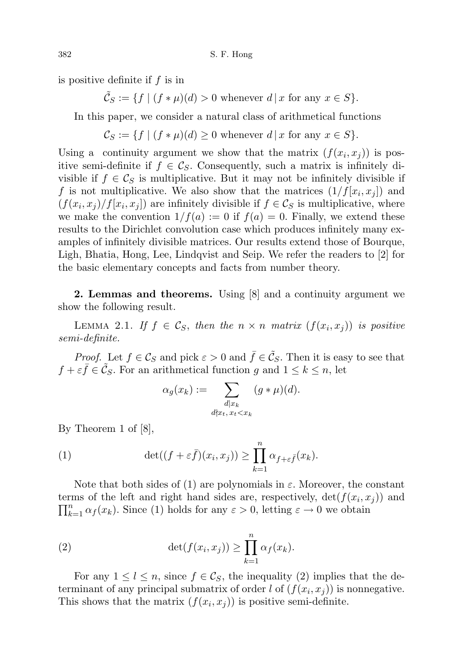is positive definite if f is in

 $\tilde{\mathcal{C}}_S := \{ f \mid (f * \mu)(d) > 0 \text{ whenever } d \mid x \text{ for any } x \in S \}.$ 

In this paper, we consider a natural class of arithmetical functions

 $\mathcal{C}_S := \{ f \mid (f * \mu)(d) \geq 0 \text{ whenever } d \mid x \text{ for any } x \in S \}.$ 

Using a continuity argument we show that the matrix  $(f(x_i, x_j))$  is positive semi-definite if  $f \in \mathcal{C}_S$ . Consequently, such a matrix is infinitely divisible if  $f \in \mathcal{C}_S$  is multiplicative. But it may not be infinitely divisible if f is not multiplicative. We also show that the matrices  $(1/f[x_i, x_j])$  and  $(f(x_i, x_j)/f[x_i, x_j])$  are infinitely divisible if  $f \in \mathcal{C}_S$  is multiplicative, where we make the convention  $1/f(a) := 0$  if  $f(a) = 0$ . Finally, we extend these results to the Dirichlet convolution case which produces infinitely many examples of infinitely divisible matrices. Our results extend those of Bourque, Ligh, Bhatia, Hong, Lee, Lindqvist and Seip. We refer the readers to [2] for the basic elementary concepts and facts from number theory.

2. Lemmas and theorems. Using [8] and a continuity argument we show the following result.

LEMMA 2.1. If  $f \in \mathcal{C}_S$ , then the  $n \times n$  matrix  $(f(x_i, x_j))$  is positive semi-definite.

*Proof.* Let  $f \in \mathcal{C}_S$  and pick  $\varepsilon > 0$  and  $\bar{f} \in \tilde{\mathcal{C}}_S$ . Then it is easy to see that  $f + \varepsilon \bar{f} \in \tilde{\mathcal{C}}_S$ . For an arithmetical function g and  $1 \leq k \leq n$ , let

$$
\alpha_g(x_k) := \sum_{\substack{d \mid x_k \\ d \nmid x_t, x_t < x_k}} (g * \mu)(d).
$$

By Theorem 1 of [8],

(1) 
$$
\det((f + \varepsilon \bar{f})(x_i, x_j)) \geq \prod_{k=1}^n \alpha_{f + \varepsilon \bar{f}}(x_k).
$$

Note that both sides of (1) are polynomials in  $\varepsilon$ . Moreover, the constant terms of the left and right hand sides are, respectively,  $\det(f(x_i, x_j))$  and  $\prod_{k=1}^n \alpha_f(x_k)$ . Since (1) holds for any  $\varepsilon > 0$ , letting  $\varepsilon \to 0$  we obtain

(2) 
$$
\det(f(x_i, x_j)) \geq \prod_{k=1}^n \alpha_f(x_k).
$$

For any  $1 \leq l \leq n$ , since  $f \in \mathcal{C}_S$ , the inequality (2) implies that the determinant of any principal submatrix of order l of  $(f(x_i, x_j))$  is nonnegative. This shows that the matrix  $(f(x_i, x_j))$  is positive semi-definite.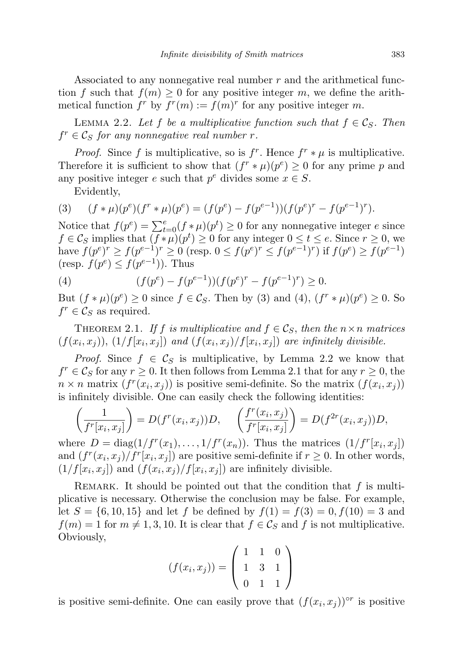Associated to any nonnegative real number  $r$  and the arithmetical function f such that  $f(m) \geq 0$  for any positive integer m, we define the arithmetical function  $f^r$  by  $f^r(m) := f(m)^r$  for any positive integer m.

LEMMA 2.2. Let f be a multiplicative function such that  $f \in \mathcal{C}_S$ . Then  $f^r \in \mathcal{C}_S$  for any nonnegative real number r.

*Proof.* Since f is multiplicative, so is  $f^r$ . Hence  $f^r * \mu$  is multiplicative. Therefore it is sufficient to show that  $(f^r * \mu)(p^e) \geq 0$  for any prime p and any positive integer e such that  $p^e$  divides some  $x \in S$ .

Evidently,

(3) 
$$
(f * \mu)(p^e)(f^r * \mu)(p^e) = (f(p^e) - f(p^{e-1}))(f(p^e)^r - f(p^{e-1})^r).
$$

Notice that  $f(p^e) = \sum_{t=0}^e (f * \mu)(p^t) \ge 0$  for any nonnegative integer e since  $f \in \mathcal{C}_S$  implies that  $(f * \mu)(p^t) \geq 0$  for any integer  $0 \leq t \leq e$ . Since  $r \geq 0$ , we have  $f(p^e)^r \ge f(p^{e-1})^r \ge 0$  (resp.  $0 \le f(p^e)^r \le f(p^{e-1})^r$ ) if  $f(p^e) \ge f(p^{e-1})$ (resp.  $f(p^e) \leq f(p^{e-1})$ ). Thus

(4) 
$$
(f(p^e) - f(p^{e-1}))(f(p^e)^r - f(p^{e-1})^r) \ge 0.
$$

But  $(f * \mu)(p^e) \ge 0$  since  $f \in \mathcal{C}_S$ . Then by (3) and (4),  $(f^r * \mu)(p^e) \ge 0$ . So  $f^r \in \mathcal{C}_S$  as required.

THEOREM 2.1. If f is multiplicative and  $f \in \mathcal{C}_S$ , then the  $n \times n$  matrices  $(f(x_i, x_j)), (1/f[x_i, x_j])$  and  $(f(x_i, x_j)/f[x_i, x_j])$  are infinitely divisible.

*Proof.* Since  $f \in \mathcal{C}_S$  is multiplicative, by Lemma 2.2 we know that  $f^r \in \mathcal{C}_S$  for any  $r \geq 0$ . It then follows from Lemma 2.1 that for any  $r \geq 0$ , the  $n \times n$  matrix  $(f^r(x_i, x_j))$  is positive semi-definite. So the matrix  $(f(x_i, x_j))$ is infinitely divisible. One can easily check the following identities:

$$
\left(\frac{1}{f^r[x_i, x_j]}\right) = D(f^r(x_i, x_j))D, \quad \left(\frac{f^r(x_i, x_j)}{f^r[x_i, x_j]}\right) = D(f^{2r}(x_i, x_j))D,
$$

where  $D = \text{diag}(1/f^r(x_1), \ldots, 1/f^r(x_n)).$  Thus the matrices  $(1/f^r[x_i, x_j])$ and  $(f^r(x_i, x_j)/f^r(x_i, x_j))$  are positive semi-definite if  $r \geq 0$ . In other words,  $(1/f[x_i, x_j])$  and  $(f(x_i, x_j)/f[x_i, x_j])$  are infinitely divisible.

REMARK. It should be pointed out that the condition that  $f$  is multiplicative is necessary. Otherwise the conclusion may be false. For example, let  $S = \{6, 10, 15\}$  and let f be defined by  $f(1) = f(3) = 0, f(10) = 3$  and  $f(m) = 1$  for  $m \neq 1, 3, 10$ . It is clear that  $f \in \mathcal{C}_S$  and f is not multiplicative. Obviously,

$$
(f(x_i, x_j)) = \begin{pmatrix} 1 & 1 & 0 \\ 1 & 3 & 1 \\ 0 & 1 & 1 \end{pmatrix}
$$

is positive semi-definite. One can easily prove that  $(f(x_i, x_j))^{or}$  is positive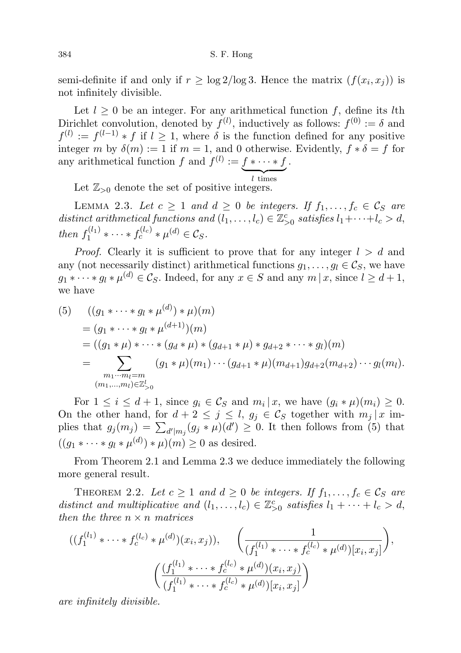semi-definite if and only if  $r \ge \log 2/\log 3$ . Hence the matrix  $(f(x_i, x_j))$  is not infinitely divisible.

Let  $l \geq 0$  be an integer. For any arithmetical function f, define its lth Dirichlet convolution, denoted by  $f^{(l)}$ , inductively as follows:  $f^{(0)} := \delta$  and  $f^{(l)} := f^{(l-1)} * f$  if  $l \geq 1$ , where  $\delta$  is the function defined for any positive integer m by  $\delta(m) := 1$  if  $m = 1$ , and 0 otherwise. Evidently,  $f * \delta = f$  for any arithmetical function f and  $f^{(l)} := f * \cdots * f$ .

 $\overline{l \text{ times}}$ Let  $\mathbb{Z}_{>0}$  denote the set of positive integers.

LEMMA 2.3. Let  $c \geq 1$  and  $d \geq 0$  be integers. If  $f_1, \ldots, f_c \in \mathcal{C}_S$  are distinct arithmetical functions and  $(l_1, \ldots, l_c) \in \mathbb{Z}_{\geq 0}^c$  satisfies  $l_1 + \cdots + l_c > d$ , then  $f_1^{(l_1)}$  $t_1^{(l_1)} * \cdots * f_c^{(l_c)} * \mu^{(d)} \in \mathcal{C}_S.$ 

*Proof.* Clearly it is sufficient to prove that for any integer  $l > d$  and any (not necessarily distinct) arithmetical functions  $g_1, \ldots, g_l \in \mathcal{C}_S$ , we have  $g_1 * \cdots * g_l * \mu^{(d)} \in \mathcal{C}_S$ . Indeed, for any  $x \in S$  and any  $m | x$ , since  $l \geq d+1$ , we have

(5) 
$$
((g_1 * \cdots * g_l * \mu^{(d)}) * \mu)(m)
$$
  
=  $(g_1 * \cdots * g_l * \mu^{(d+1)})(m)$   
=  $((g_1 * \mu) * \cdots * (g_d * \mu) * (g_{d+1} * \mu) * g_{d+2} * \cdots * g_l)(m)$   
= 
$$
\sum_{\substack{m_1 \cdots m_l = m \\ (m_1, \ldots, m_l) \in \mathbb{Z}_{\geq 0}^l}} (g_1 * \mu)(m_1) \cdots (g_{d+1} * \mu)(m_{d+1}) g_{d+2}(m_{d+2}) \cdots g_l(m_l).
$$

For  $1 \leq i \leq d+1$ , since  $g_i \in \mathcal{C}_S$  and  $m_i | x$ , we have  $(g_i * \mu)(m_i) \geq 0$ . On the other hand, for  $d + 2 \leq j \leq l$ ,  $g_j \in \mathcal{C}_S$  together with  $m_j | x$  implies that  $g_j(m_j) = \sum_{d'|m_j}(g_j \ast \mu)(d') \geq 0$ . It then follows from (5) that  $((g_1 * \cdots * g_l * \mu^{(d)}) * \mu)(m) \geq 0$  as desired.

From Theorem 2.1 and Lemma 2.3 we deduce immediately the following more general result.

THEOREM 2.2. Let  $c \geq 1$  and  $d \geq 0$  be integers. If  $f_1, \ldots, f_c \in \mathcal{C}_S$  are distinct and multiplicative and  $(l_1, \ldots, l_c) \in \mathbb{Z}_{\geq 0}^c$  satisfies  $l_1 + \cdots + l_c > d$ , then the three  $n \times n$  matrices

$$
((f_1^{(l_1)} * \cdots * f_c^{(l_c)} * \mu^{(d)})(x_i, x_j)), \left(\frac{1}{(f_1^{(l_1)} * \cdots * f_c^{(l_c)} * \mu^{(d)})[x_i, x_j]}\right),
$$

$$
\left(\frac{(f_1^{(l_1)} * \cdots * f_c^{(l_c)} * \mu^{(d)})(x_i, x_j)}{(f_1^{(l_1)} * \cdots * f_c^{(l_c)} * \mu^{(d)})[x_i, x_j]}\right)
$$

are infinitely divisible.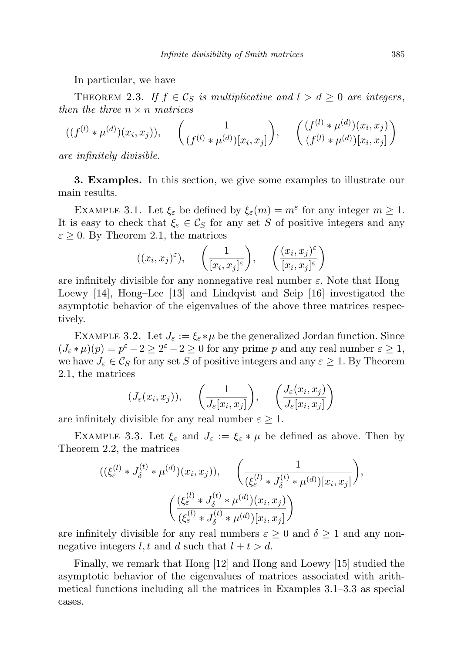In particular, we have

THEOREM 2.3. If  $f \in \mathcal{C}_S$  is multiplicative and  $l > d \geq 0$  are integers, then the three  $n \times n$  matrices

$$
((f^{(l)} * \mu^{(d)})(x_i, x_j)), \quad \left(\frac{1}{(f^{(l)} * \mu^{(d)})[x_i, x_j]}\right), \quad \left(\frac{(f^{(l)} * \mu^{(d)})(x_i, x_j)}{(f^{(l)} * \mu^{(d)})[x_i, x_j]}\right)
$$

are infinitely divisible.

3. Examples. In this section, we give some examples to illustrate our main results.

EXAMPLE 3.1. Let  $\xi_{\varepsilon}$  be defined by  $\xi_{\varepsilon}(m) = m^{\varepsilon}$  for any integer  $m \geq 1$ . It is easy to check that  $\xi_{\varepsilon} \in \mathcal{C}_S$  for any set S of positive integers and any  $\varepsilon \geq 0$ . By Theorem 2.1, the matrices

$$
((x_i, x_j)^\varepsilon), \quad \left(\frac{1}{[x_i, x_j]^\varepsilon}\right), \quad \left(\frac{(x_i, x_j)^\varepsilon}{[x_i, x_j]^\varepsilon}\right)
$$

are infinitely divisible for any nonnegative real number  $\varepsilon$ . Note that Hong– Loewy [14], Hong–Lee [13] and Lindqvist and Seip [16] investigated the asymptotic behavior of the eigenvalues of the above three matrices respectively.

EXAMPLE 3.2. Let  $J_{\varepsilon} := \xi_{\varepsilon} * \mu$  be the generalized Jordan function. Since  $(J_{\varepsilon} * \mu)(p) = p^{\varepsilon} - 2 \ge 2^{\varepsilon} - 2 \ge 0$  for any prime p and any real number  $\varepsilon \ge 1$ , we have  $J_{\varepsilon} \in \mathcal{C}_S$  for any set S of positive integers and any  $\varepsilon \geq 1$ . By Theorem 2.1, the matrices

$$
(J_{\varepsilon}(x_i, x_j)), \quad \left(\frac{1}{J_{\varepsilon}[x_i, x_j]}\right), \quad \left(\frac{J_{\varepsilon}(x_i, x_j)}{J_{\varepsilon}[x_i, x_j]}\right)
$$

are infinitely divisible for any real number  $\varepsilon \geq 1$ .

EXAMPLE 3.3. Let  $\xi_{\varepsilon}$  and  $J_{\varepsilon} := \xi_{\varepsilon} * \mu$  be defined as above. Then by Theorem 2.2, the matrices

$$
((\xi_{\varepsilon}^{(l)} * J_{\delta}^{(t)} * \mu^{(d)})(x_i, x_j)), \quad \left(\frac{1}{(\xi_{\varepsilon}^{(l)} * J_{\delta}^{(t)} * \mu^{(d)})[x_i, x_j]}\right),
$$

$$
\left(\frac{(\xi_{\varepsilon}^{(l)} * J_{\delta}^{(t)} * \mu^{(d)})(x_i, x_j)}{(\xi_{\varepsilon}^{(l)} * J_{\delta}^{(t)} * \mu^{(d)})[x_i, x_j]}\right)
$$

are infinitely divisible for any real numbers  $\varepsilon \geq 0$  and  $\delta \geq 1$  and any nonnegative integers l, t and d such that  $l + t > d$ .

Finally, we remark that Hong [12] and Hong and Loewy [15] studied the asymptotic behavior of the eigenvalues of matrices associated with arithmetical functions including all the matrices in Examples 3.1–3.3 as special cases.